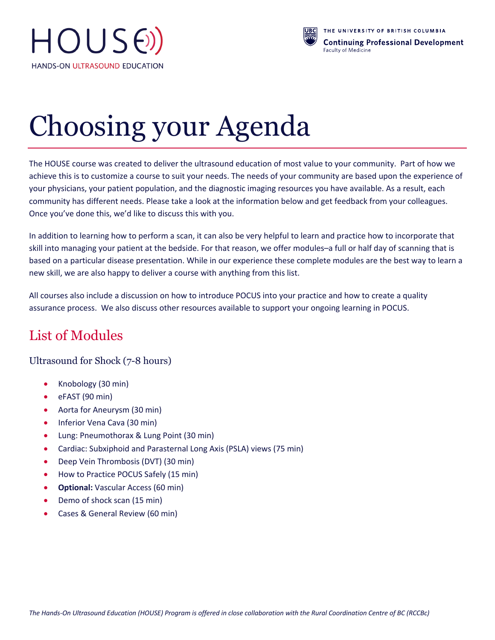



# Choosing your Agenda

The HOUSE course was created to deliver the ultrasound education of most value to your community. Part of how we achieve this is to customize a course to suit your needs. The needs of your community are based upon the experience of your physicians, your patient population, and the diagnostic imaging resources you have available. As a result, each community has different needs. Please take a look at the information below and get feedback from your colleagues. Once you've done this, we'd like to discuss this with you.

In addition to learning how to perform a scan, it can also be very helpful to learn and practice how to incorporate that skill into managing your patient at the bedside. For that reason, we offer modules–a full or half day of scanning that is based on a particular disease presentation. While in our experience these complete modules are the best way to learn a new skill, we are also happy to deliver a course with anything from this list.

All courses also include a discussion on how to introduce POCUS into your practice and how to create a quality assurance process. We also discuss other resources available to support your ongoing learning in POCUS.

# List of Modules

Ultrasound for Shock (7-8 hours)

- Knobology (30 min)
- eFAST (90 min)
- Aorta for Aneurysm (30 min)
- Inferior Vena Cava (30 min)
- Lung: Pneumothorax & Lung Point (30 min)
- Cardiac: Subxiphoid and Parasternal Long Axis (PSLA) views (75 min)
- Deep Vein Thrombosis (DVT) (30 min)
- How to Practice POCUS Safely (15 min)
- **Optional:** Vascular Access (60 min)
- Demo of shock scan (15 min)
- Cases & General Review (60 min)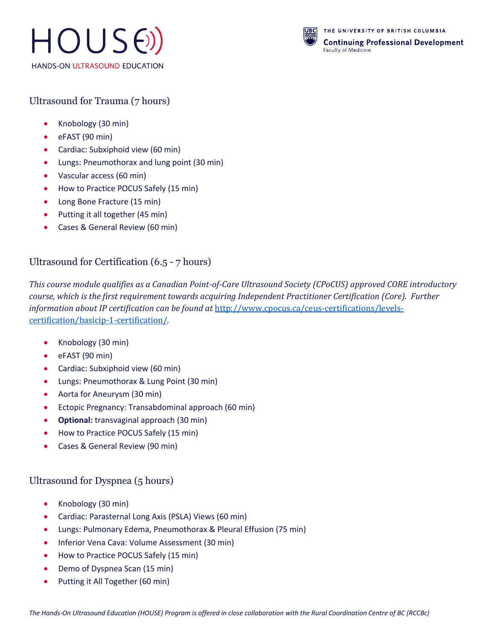



## Ultrasound for Trauma (7 hours)

- Knobology (30 min)
- eFAST (90 min)
- Cardiac: Subxiphoid view (60 min)
- Lungs: Pneumothorax and lung point (30 min)
- Vascular access (60 min)
- How to Practice POCUS Safely (15 min)
- Long Bone Fracture (15 min)
- Putting it all together (45 min)
- Cases & General Review (60 min)

#### Ultrasound for Certification (6.5 - 7 hours)

This course module qualifies as a Canadian Point-of-Care Ultrasound Society (CPoCUS) approved CORE introductory *course, which is the first requirement towards acquiring Independent Practitioner Certification (Core). Further information about IP certification can be found at http://www.cpocus.ca/ceus-certifications/levels*certification/basicip-1-certification/*.*

- Knobology (30 min)
- eFAST (90 min)
- Cardiac: Subxiphoid view (60 min)
- Lungs: Pneumothorax & Lung Point (30 min)
- Aorta for Aneurysm (30 min)
- Ectopic Pregnancy: Transabdominal approach (60 min)
- **Optional:** transvaginal approach (30 min)
- How to Practice POCUS Safely (15 min)
- Cases & General Review (90 min)

#### Ultrasound for Dyspnea (5 hours)

- Knobology (30 min)
- Cardiac: Parasternal Long Axis (PSLA) Views (60 min)
- Lungs: Pulmonary Edema, Pneumothorax & Pleural Effusion (75 min)
- Inferior Vena Cava: Volume Assessment (30 min)
- How to Practice POCUS Safely (15 min)
- Demo of Dyspnea Scan (15 min)
- Putting it All Together (60 min)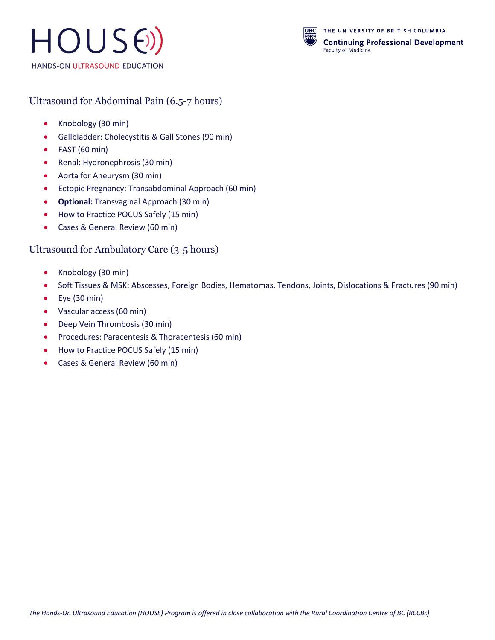



#### Ultrasound for Abdominal Pain (6.5-7 hours)

- Knobology (30 min)
- Gallbladder: Cholecystitis & Gall Stones (90 min)
- FAST (60 min)
- Renal: Hydronephrosis (30 min)
- Aorta for Aneurysm (30 min)
- Ectopic Pregnancy: Transabdominal Approach (60 min)
- **Optional:** Transvaginal Approach (30 min)
- How to Practice POCUS Safely (15 min)
- Cases & General Review (60 min)

#### Ultrasound for Ambulatory Care (3-5 hours)

- Knobology (30 min)
- Soft Tissues & MSK: Abscesses, Foreign Bodies, Hematomas, Tendons, Joints, Dislocations & Fractures (90 min)
- Eye (30 min)
- Vascular access (60 min)
- Deep Vein Thrombosis (30 min)
- Procedures: Paracentesis & Thoracentesis (60 min)
- How to Practice POCUS Safely (15 min)
- Cases & General Review (60 min)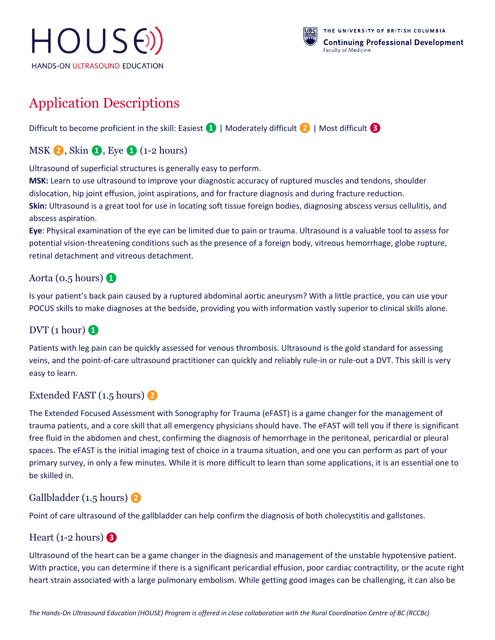



# Application Descriptions

Difficult to become proficient in the skill: Easiest **❶**| Moderately difficult **❷**| Most difficult **❸**

# MSK **❷**, Skin **❶**, Eye **❶** (1-2 hours)

Ultrasound of superficial structures is generally easy to perform.

**MSK:** Learn to use ultrasound to improve your diagnostic accuracy of ruptured muscles and tendons, shoulder dislocation, hip joint effusion, joint aspirations, and for fracture diagnosis and during fracture reduction. **Skin:** Ultrasound is a great tool for use in locating soft tissue foreign bodies, diagnosing abscess versus cellulitis, and abscess aspiration.

**Eye**: Physical examination of the eye can be limited due to pain or trauma. Ultrasound is a valuable tool to assess for potential vision-threatening conditions such as the presence of a foreign body, vitreous hemorrhage, globe rupture, retinal detachment and vitreous detachment.

#### Aorta (0.5 hours) **❶**

Is your patient's back pain caused by a ruptured abdominal aortic aneurysm? With a little practice, you can use your POCUS skills to make diagnoses at the bedside, providing you with information vastly superior to clinical skills alone.

#### $DVT$  (1 hour)  $\Omega$

Patients with leg pain can be quickly assessed for venous thrombosis. Ultrasound is the gold standard for assessing veins, and the point-of-care ultrasound practitioner can quickly and reliably rule-in or rule-out a DVT. This skill is very easy to learn.

#### Extended FAST (1.5 hours) **❷**

The Extended Focused Assessment with Sonography for Trauma (eFAST) is a game changer for the management of trauma patients, and a core skill that all emergency physicians should have. The eFAST will tell you if there is significant free fluid in the abdomen and chest, confirming the diagnosis of hemorrhage in the peritoneal, pericardial or pleural spaces. The eFAST is the initial imaging test of choice in a trauma situation, and one you can perform as part of your primary survey, in only a few minutes. While it is more difficult to learn than some applications, it is an essential one to be skilled in.

#### Gallbladder (1.5 hours) **❷**

Point of care ultrasound of the gallbladder can help confirm the diagnosis of both cholecystitis and gallstones.

#### Heart (1-2 hours) **❸**

Ultrasound of the heart can be a game changer in the diagnosis and management of the unstable hypotensive patient. With practice, you can determine if there is a significant pericardial effusion, poor cardiac contractility, or the acute right heart strain associated with a large pulmonary embolism. While getting good images can be challenging, it can also be